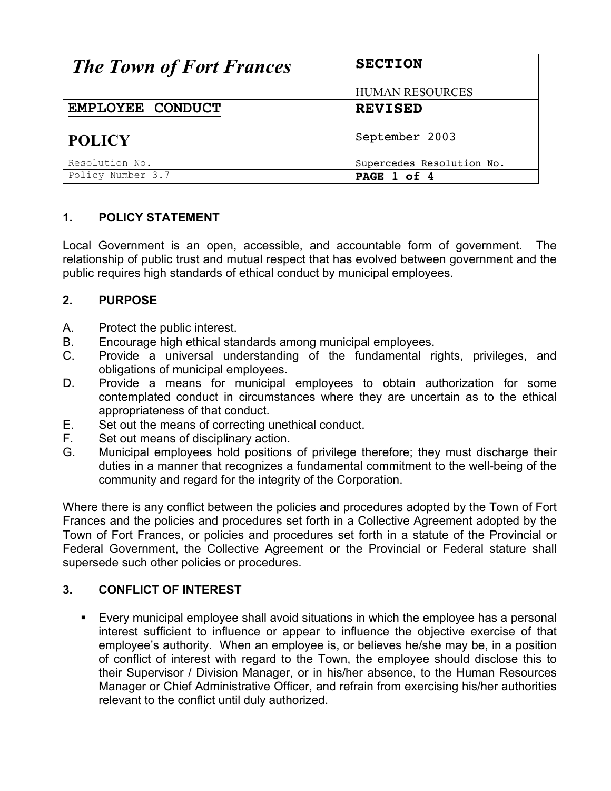| <b>The Town of Fort Frances</b> | <b>SECTION</b>            |
|---------------------------------|---------------------------|
|                                 | <b>HUMAN RESOURCES</b>    |
| EMPLOYEE CONDUCT                | <b>REVISED</b>            |
| <b>POLICY</b>                   | September 2003            |
| Resolution No.                  | Supercedes Resolution No. |
| Policy Number 3.7               | PAGE 1 of 4               |

### **1. POLICY STATEMENT**

Local Government is an open, accessible, and accountable form of government. The relationship of public trust and mutual respect that has evolved between government and the public requires high standards of ethical conduct by municipal employees.

### **2. PURPOSE**

- A. Protect the public interest.
- B. Encourage high ethical standards among municipal employees.
- C. Provide a universal understanding of the fundamental rights, privileges, and obligations of municipal employees.
- D. Provide a means for municipal employees to obtain authorization for some contemplated conduct in circumstances where they are uncertain as to the ethical appropriateness of that conduct.
- E. Set out the means of correcting unethical conduct.
- F. Set out means of disciplinary action.
- G. Municipal employees hold positions of privilege therefore; they must discharge their duties in a manner that recognizes a fundamental commitment to the well-being of the community and regard for the integrity of the Corporation.

Where there is any conflict between the policies and procedures adopted by the Town of Fort Frances and the policies and procedures set forth in a Collective Agreement adopted by the Town of Fort Frances, or policies and procedures set forth in a statute of the Provincial or Federal Government, the Collective Agreement or the Provincial or Federal stature shall supersede such other policies or procedures.

### **3. CONFLICT OF INTEREST**

! Every municipal employee shall avoid situations in which the employee has a personal interest sufficient to influence or appear to influence the objective exercise of that employee's authority. When an employee is, or believes he/she may be, in a position of conflict of interest with regard to the Town, the employee should disclose this to their Supervisor / Division Manager, or in his/her absence, to the Human Resources Manager or Chief Administrative Officer, and refrain from exercising his/her authorities relevant to the conflict until duly authorized.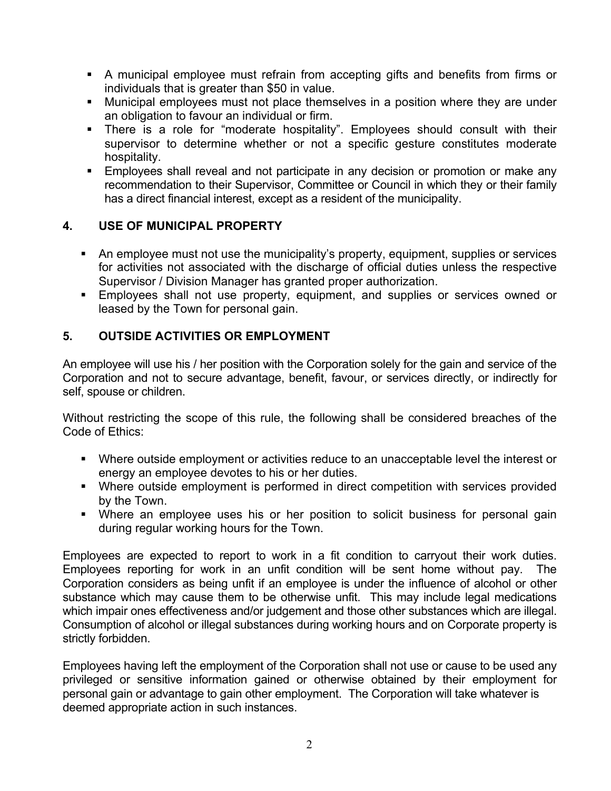- ! A municipal employee must refrain from accepting gifts and benefits from firms or individuals that is greater than \$50 in value.
- ! Municipal employees must not place themselves in a position where they are under an obligation to favour an individual or firm.
- **There is a role for "moderate hospitality". Employees should consult with their** supervisor to determine whether or not a specific gesture constitutes moderate hospitality.
- **Employees shall reveal and not participate in any decision or promotion or make any** recommendation to their Supervisor, Committee or Council in which they or their family has a direct financial interest, except as a resident of the municipality.

# **4. USE OF MUNICIPAL PROPERTY**

- ! An employee must not use the municipality's property, equipment, supplies or services for activities not associated with the discharge of official duties unless the respective Supervisor / Division Manager has granted proper authorization.
- **Employees shall not use property, equipment, and supplies or services owned or** leased by the Town for personal gain.

# **5. OUTSIDE ACTIVITIES OR EMPLOYMENT**

An employee will use his / her position with the Corporation solely for the gain and service of the Corporation and not to secure advantage, benefit, favour, or services directly, or indirectly for self, spouse or children.

Without restricting the scope of this rule, the following shall be considered breaches of the Code of Ethics:

- ! Where outside employment or activities reduce to an unacceptable level the interest or energy an employee devotes to his or her duties.
- ! Where outside employment is performed in direct competition with services provided by the Town.
- ! Where an employee uses his or her position to solicit business for personal gain during regular working hours for the Town.

Employees are expected to report to work in a fit condition to carryout their work duties. Employees reporting for work in an unfit condition will be sent home without pay. The Corporation considers as being unfit if an employee is under the influence of alcohol or other substance which may cause them to be otherwise unfit. This may include legal medications which impair ones effectiveness and/or judgement and those other substances which are illegal. Consumption of alcohol or illegal substances during working hours and on Corporate property is strictly forbidden.

Employees having left the employment of the Corporation shall not use or cause to be used any privileged or sensitive information gained or otherwise obtained by their employment for personal gain or advantage to gain other employment. The Corporation will take whatever is deemed appropriate action in such instances.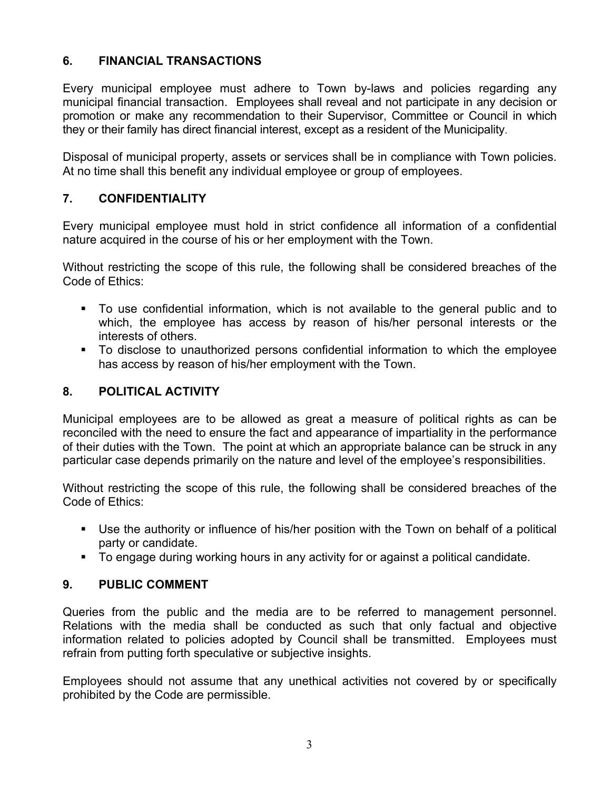# **6. FINANCIAL TRANSACTIONS**

Every municipal employee must adhere to Town by-laws and policies regarding any municipal financial transaction. Employees shall reveal and not participate in any decision or promotion or make any recommendation to their Supervisor, Committee or Council in which they or their family has direct financial interest, except as a resident of the Municipality.

Disposal of municipal property, assets or services shall be in compliance with Town policies. At no time shall this benefit any individual employee or group of employees.

### **7. CONFIDENTIALITY**

Every municipal employee must hold in strict confidence all information of a confidential nature acquired in the course of his or her employment with the Town.

Without restricting the scope of this rule, the following shall be considered breaches of the Code of Ethics:

- ! To use confidential information, which is not available to the general public and to which, the employee has access by reason of his/her personal interests or the interests of others.
- ! To disclose to unauthorized persons confidential information to which the employee has access by reason of his/her employment with the Town.

# **8. POLITICAL ACTIVITY**

Municipal employees are to be allowed as great a measure of political rights as can be reconciled with the need to ensure the fact and appearance of impartiality in the performance of their duties with the Town. The point at which an appropriate balance can be struck in any particular case depends primarily on the nature and level of the employee's responsibilities.

Without restricting the scope of this rule, the following shall be considered breaches of the Code of Ethics:

- ! Use the authority or influence of his/her position with the Town on behalf of a political party or candidate.
- ! To engage during working hours in any activity for or against a political candidate.

### **9. PUBLIC COMMENT**

Queries from the public and the media are to be referred to management personnel. Relations with the media shall be conducted as such that only factual and objective information related to policies adopted by Council shall be transmitted. Employees must refrain from putting forth speculative or subjective insights.

Employees should not assume that any unethical activities not covered by or specifically prohibited by the Code are permissible.